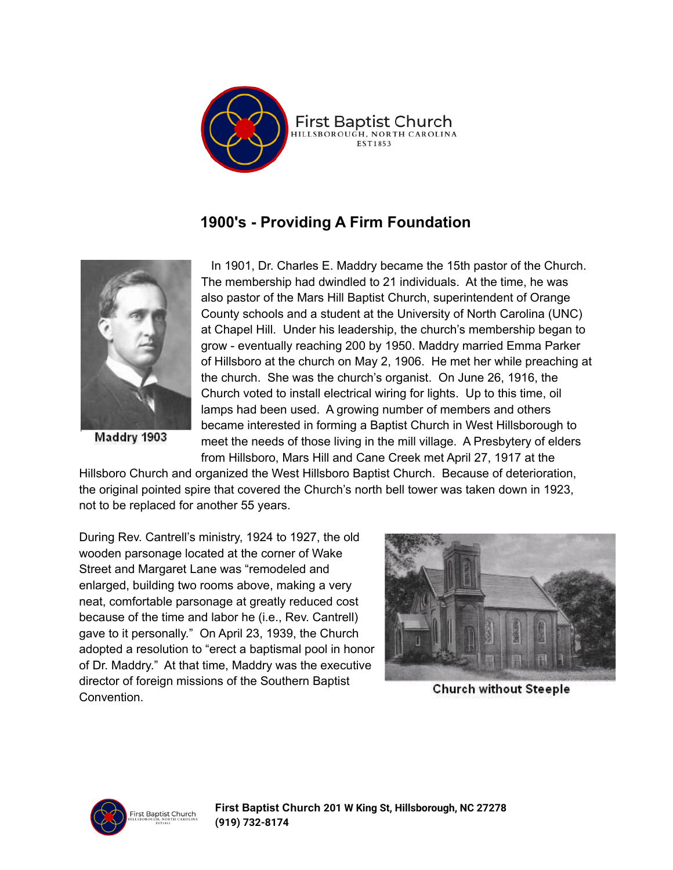

## **1900's - Providing A Firm Foundation**



Maddry 1903

In 1901, Dr. Charles E. Maddry became the 15th pastor of the Church. The membership had dwindled to 21 individuals. At the time, he was also pastor of the Mars Hill Baptist Church, superintendent of Orange County schools and a student at the University of North Carolina (UNC) at Chapel Hill. Under his leadership, the church's membership began to grow - eventually reaching 200 by 1950. Maddry married Emma Parker of Hillsboro at the church on May 2, 1906. He met her while preaching at the church. She was the church's organist. On June 26, 1916, the Church voted to install electrical wiring for lights. Up to this time, oil lamps had been used. A growing number of members and others became interested in forming a Baptist Church in West Hillsborough to meet the needs of those living in the mill village. A Presbytery of elders from Hillsboro, Mars Hill and Cane Creek met April 27, 1917 at the

Hillsboro Church and organized the West Hillsboro Baptist Church. Because of deterioration, the original pointed spire that covered the Church's north bell tower was taken down in 1923, not to be replaced for another 55 years.

During Rev. Cantrell's ministry, 1924 to 1927, the old wooden parsonage located at the corner of Wake Street and Margaret Lane was "remodeled and enlarged, building two rooms above, making a very neat, comfortable parsonage at greatly reduced cost because of the time and labor he (i.e., Rev. Cantrell) gave to it personally." On April 23, 1939, the Church adopted a resolution to "erect a baptismal pool in honor of Dr. Maddry." At that time, Maddry was the executive director of foreign missions of the Southern Baptist **Convention** 



**Church without Steeple** 

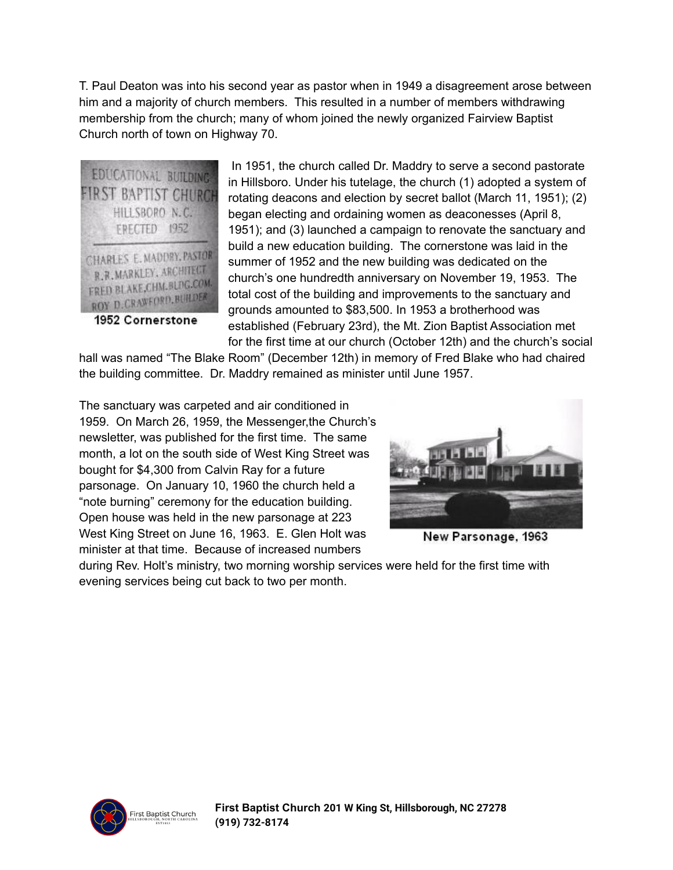T. Paul Deaton was into his second year as pastor when in 1949 a disagreement arose between him and a majority of church members. This resulted in a number of members withdrawing membership from the church; many of whom joined the newly organized Fairview Baptist Church north of town on Highway 70.



1952 Cornerstone

In 1951, the church called Dr. Maddry to serve a second pastorate in Hillsboro. Under his tutelage, the church (1) adopted a system of rotating deacons and election by secret ballot (March 11, 1951); (2) began electing and ordaining women as deaconesses (April 8, 1951); and (3) launched a campaign to renovate the sanctuary and build a new education building. The cornerstone was laid in the summer of 1952 and the new building was dedicated on the church's one hundredth anniversary on November 19, 1953. The total cost of the building and improvements to the sanctuary and grounds amounted to \$83,500. In 1953 a brotherhood was established (February 23rd), the Mt. Zion Baptist Association met for the first time at our church (October 12th) and the church's social

hall was named "The Blake Room" (December 12th) in memory of Fred Blake who had chaired the building committee. Dr. Maddry remained as minister until June 1957.

The sanctuary was carpeted and air conditioned in 1959. On March 26, 1959, the Messenger,the Church's newsletter, was published for the first time. The same month, a lot on the south side of West King Street was bought for \$4,300 from Calvin Ray for a future parsonage. On January 10, 1960 the church held a "note burning" ceremony for the education building. Open house was held in the new parsonage at 223 West King Street on June 16, 1963. E. Glen Holt was minister at that time. Because of increased numbers



New Parsonage, 1963

during Rev. Holt's ministry, two morning worship services were held for the first time with evening services being cut back to two per month.